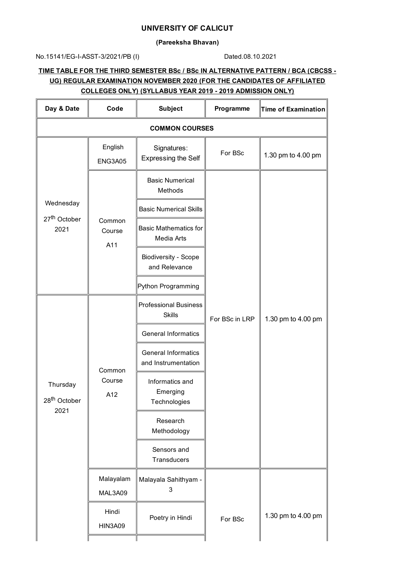## **UNIVERSITY OF CALICUT**

### **(Pareeksha Bhavan)**

### No.15141/EG-I-ASST-3/2021/PB (I) Dated.08.10.2021

# **TIME TABLE FOR THE THIRD SEMESTER BSc / BSc IN ALTERNATIVE PATTERN / BCA (CBCSS - UG) REGULAR EXAMINATION NOVEMBER 2020 (FOR THE CANDIDATES OF AFFILIATED COLLEGES ONLY) (SYLLABUS YEAR 2019 - 2019 ADMISSION ONLY)**

| Day & Date                                     | Code                    | <b>Subject</b><br>Programme                       |                | Time of Examination |
|------------------------------------------------|-------------------------|---------------------------------------------------|----------------|---------------------|
| <b>COMMON COURSES</b>                          |                         |                                                   |                |                     |
|                                                | English<br>ENG3A05      | Signatures:<br><b>Expressing the Self</b>         | For BSc        | 1.30 pm to 4.00 pm  |
|                                                |                         | <b>Basic Numerical</b><br>Methods                 |                | 1.30 pm to 4.00 pm  |
| Wednesday                                      |                         | <b>Basic Numerical Skills</b>                     |                |                     |
| 27 <sup>th</sup> October<br>2021               | Common<br>Course<br>A11 | <b>Basic Mathematics for</b><br>Media Arts        |                |                     |
|                                                |                         | <b>Biodiversity - Scope</b><br>and Relevance      |                |                     |
|                                                |                         | Python Programming                                |                |                     |
| Thursday<br>$28^{\mathsf{th}}$ October<br>2021 | Common<br>Course<br>A12 | <b>Professional Business</b><br><b>Skills</b>     | For BSc in LRP |                     |
|                                                |                         | <b>General Informatics</b>                        |                |                     |
|                                                |                         | <b>General Informatics</b><br>and Instrumentation |                |                     |
|                                                |                         | Informatics and<br>Emerging<br>Technologies       |                |                     |
|                                                |                         | Research<br>Methodology                           |                |                     |
|                                                |                         | Sensors and<br>Transducers                        |                |                     |
|                                                | Malayalam<br>MAL3A09    | Malayala Sahithyam -<br>3                         |                |                     |
|                                                | Hindi<br><b>HIN3A09</b> | Poetry in Hindi                                   | For BSc        | 1.30 pm to 4.00 pm  |
|                                                |                         |                                                   |                |                     |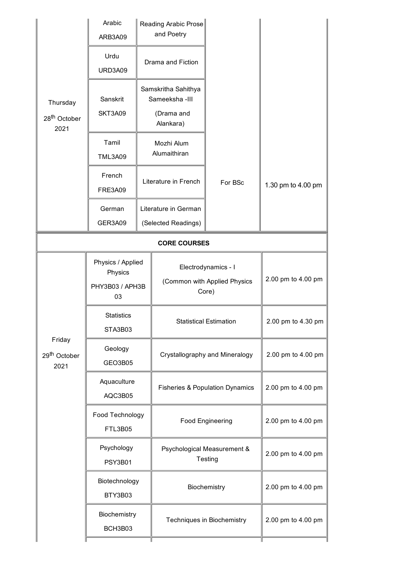|                                              | Arabic<br>ARB3A09                                     |                                                                   | Reading Arabic Prose<br>and Poetry                           |                                        |                    |
|----------------------------------------------|-------------------------------------------------------|-------------------------------------------------------------------|--------------------------------------------------------------|----------------------------------------|--------------------|
|                                              | Urdu<br>URD3A09                                       |                                                                   | Drama and Fiction                                            |                                        |                    |
| Thursday<br>28 <sup>th</sup> October<br>2021 | Sanskrit<br>SKT3A09                                   | Samskritha Sahithya<br>Sameeksha - III<br>(Drama and<br>Alankara) |                                                              |                                        |                    |
|                                              | Tamil<br><b>TML3A09</b>                               |                                                                   | Mozhi Alum<br>Alumaithiran                                   |                                        |                    |
|                                              | French<br><b>FRE3A09</b>                              |                                                                   | Literature in French                                         | For BSc                                | 1.30 pm to 4.00 pm |
|                                              | German<br>GER3A09                                     |                                                                   | Literature in German<br>(Selected Readings)                  |                                        |                    |
| <b>CORE COURSES</b>                          |                                                       |                                                                   |                                                              |                                        |                    |
|                                              | Physics / Applied<br>Physics<br>PHY3B03 / APH3B<br>03 |                                                                   | Electrodynamics - I<br>(Common with Applied Physics<br>Core) |                                        | 2.00 pm to 4.00 pm |
|                                              | <b>Statistics</b><br>STA3B03                          |                                                                   | <b>Statistical Estimation</b>                                |                                        | 2.00 pm to 4.30 pm |
| Friday<br>29 <sup>th</sup> October<br>2021   | Geology<br>GEO3B05                                    |                                                                   | Crystallography and Mineralogy                               |                                        | 2.00 pm to 4.00 pm |
|                                              | Aquaculture<br>AQC3B05                                |                                                                   | <b>Fisheries &amp; Population Dynamics</b>                   |                                        | 2.00 pm to 4.00 pm |
|                                              | Food Technology<br><b>FTL3B05</b>                     |                                                                   | Food Engineering                                             |                                        | 2.00 pm to 4.00 pm |
|                                              | Psychology<br><b>PSY3B01</b>                          |                                                                   |                                                              | Psychological Measurement &<br>Testing | 2.00 pm to 4.00 pm |
|                                              | Biotechnology<br>BTY3B03                              |                                                                   | Biochemistry                                                 |                                        | 2.00 pm to 4.00 pm |
|                                              | Biochemistry<br>BCH3B03                               |                                                                   |                                                              | Techniques in Biochemistry             | 2.00 pm to 4.00 pm |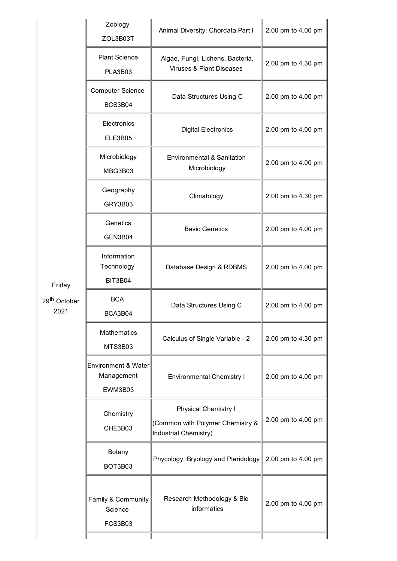|                                            | Zoology<br>ZOL3B03T                          | Animal Diversity: Chordata Part I                                                 | 2.00 pm to 4.00 pm |
|--------------------------------------------|----------------------------------------------|-----------------------------------------------------------------------------------|--------------------|
|                                            | <b>Plant Science</b><br>PLA3B03              | Algae, Fungi, Lichens, Bacteria,<br>Viruses & Plant Diseases                      | 2.00 pm to 4.30 pm |
|                                            | <b>Computer Science</b><br>BCS3B04           | Data Structures Using C                                                           | 2.00 pm to 4.00 pm |
|                                            | Electronics<br><b>ELE3B05</b>                | <b>Digital Electronics</b>                                                        | 2.00 pm to 4.00 pm |
|                                            | Microbiology<br>MBG3B03                      | Environmental & Sanitation<br>Microbiology                                        | 2.00 pm to 4.00 pm |
|                                            | Geography<br>GRY3B03                         | Climatology                                                                       | 2.00 pm to 4.30 pm |
|                                            | Genetics<br>GEN3B04                          | <b>Basic Genetics</b>                                                             | 2.00 pm to 4.00 pm |
| Friday<br>29 <sup>th</sup> October<br>2021 | Information<br>Technology<br><b>BIT3B04</b>  | Database Design & RDBMS                                                           |                    |
|                                            | <b>BCA</b><br>BCA3B04                        | Data Structures Using C                                                           | 2.00 pm to 4.00 pm |
|                                            | <b>Mathematics</b><br>MTS3B03                | Calculus of Single Variable - 2                                                   | 2.00 pm to 4.30 pm |
|                                            | Environment & Water<br>Management<br>EWM3B03 | <b>Environmental Chemistry I</b>                                                  | 2.00 pm to 4.00 pm |
|                                            | Chemistry<br>CHE3B03                         | Physical Chemistry I<br>(Common with Polymer Chemistry &<br>Industrial Chemistry) | 2.00 pm to 4.00 pm |
|                                            | Botany<br>BOT3B03                            | Phycology, Bryology and Pteridology                                               | 2.00 pm to 4.00 pm |
|                                            | Family & Community<br>Science<br>FCS3B03     | Research Methodology & Bio<br>informatics                                         | 2.00 pm to 4.00 pm |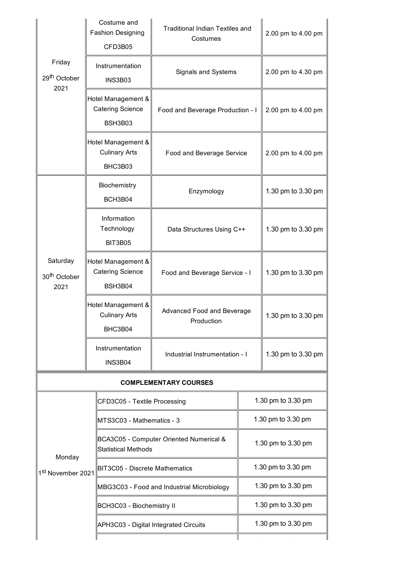|                                              | Costume and<br><b>Fashion Designing</b><br>CFD3B05                                           | <b>Traditional Indian Textiles and</b><br>Costumes |                    | 2.00 pm to 4.00 pm |
|----------------------------------------------|----------------------------------------------------------------------------------------------|----------------------------------------------------|--------------------|--------------------|
| Friday<br>29 <sup>th</sup> October<br>2021   | Instrumentation<br><b>INS3B03</b>                                                            | Signals and Systems                                |                    | 2.00 pm to 4.30 pm |
|                                              | Hotel Management &<br><b>Catering Science</b><br>Food and Beverage Production - I<br>BSH3B03 |                                                    | 2.00 pm to 4.00 pm |                    |
|                                              | Hotel Management &<br><b>Culinary Arts</b><br>BHC3B03                                        | Food and Beverage Service                          |                    | 2.00 pm to 4.00 pm |
|                                              | Biochemistry<br>Enzymology<br>BCH3B04                                                        |                                                    |                    | 1.30 pm to 3.30 pm |
|                                              | Information<br>Technology<br><b>BIT3B05</b>                                                  | Data Structures Using C++                          |                    | 1.30 pm to 3.30 pm |
| Saturday<br>30 <sup>th</sup> October<br>2021 | Hotel Management &<br><b>Catering Science</b><br>BSH3B04                                     | Food and Beverage Service - I                      |                    | 1.30 pm to 3.30 pm |
|                                              | Hotel Management &<br><b>Culinary Arts</b><br>BHC3B04                                        | Advanced Food and Beverage<br>Production           |                    | 1.30 pm to 3.30 pm |
|                                              | Instrumentation<br><b>INS3B04</b>                                                            | Industrial Instrumentation - I                     |                    | 1.30 pm to 3.30 pm |
| <b>COMPLEMENTARY COURSES</b>                 |                                                                                              |                                                    |                    |                    |
| CFD3C05 - Textile Processing                 |                                                                                              |                                                    | 1.30 pm to 3.30 pm |                    |
|                                              | MTS3C03 - Mathematics - 3                                                                    |                                                    | 1.30 pm to 3.30 pm |                    |
| Monday                                       | <b>Statistical Methods</b>                                                                   | BCA3C05 - Computer Oriented Numerical &            | 1.30 pm to 3.30 pm |                    |
| 1st November 2021                            | <b>BIT3C05 - Discrete Mathematics</b>                                                        |                                                    | 1.30 pm to 3.30 pm |                    |
|                                              |                                                                                              | MBG3C03 - Food and Industrial Microbiology         | 1.30 pm to 3.30 pm |                    |
|                                              | BCH3C03 - Biochemistry II                                                                    |                                                    | 1.30 pm to 3.30 pm |                    |
|                                              | APH3C03 - Digital Integrated Circuits                                                        |                                                    | 1.30 pm to 3.30 pm |                    |
|                                              |                                                                                              |                                                    |                    |                    |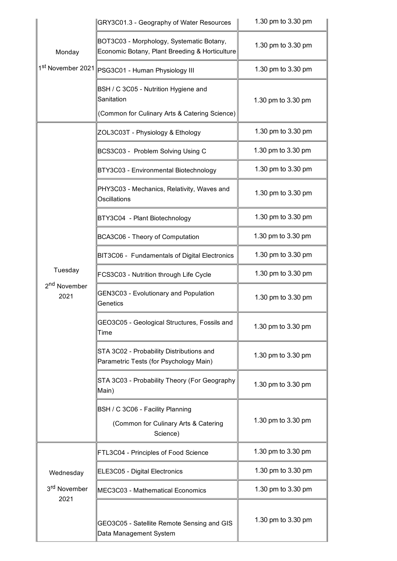|                                             | GRY3C01.3 - Geography of Water Resources                                                            | 1.30 pm to 3.30 pm |
|---------------------------------------------|-----------------------------------------------------------------------------------------------------|--------------------|
| Monday                                      | BOT3C03 - Morphology, Systematic Botany,<br>Economic Botany, Plant Breeding & Horticulture          | 1.30 pm to 3.30 pm |
|                                             | 1st November 2021 PSG3C01 - Human Physiology III                                                    | 1.30 pm to 3.30 pm |
|                                             | BSH / C 3C05 - Nutrition Hygiene and<br>Sanitation<br>(Common for Culinary Arts & Catering Science) | 1.30 pm to 3.30 pm |
|                                             | ZOL3C03T - Physiology & Ethology                                                                    | 1.30 pm to 3.30 pm |
|                                             | BCS3C03 - Problem Solving Using C                                                                   | 1.30 pm to 3.30 pm |
|                                             | BTY3C03 - Environmental Biotechnology                                                               | 1.30 pm to 3.30 pm |
|                                             | PHY3C03 - Mechanics, Relativity, Waves and<br>Oscillations                                          | 1.30 pm to 3.30 pm |
|                                             | BTY3C04 - Plant Biotechnology                                                                       | 1.30 pm to 3.30 pm |
|                                             | BCA3C06 - Theory of Computation                                                                     | 1.30 pm to 3.30 pm |
|                                             | BIT3C06 - Fundamentals of Digital Electronics                                                       | 1.30 pm to 3.30 pm |
| Tuesday<br>2 <sup>nd</sup> November<br>2021 | FCS3C03 - Nutrition through Life Cycle                                                              | 1.30 pm to 3.30 pm |
|                                             | GEN3C03 - Evolutionary and Population<br>Genetics                                                   | 1.30 pm to 3.30 pm |
|                                             | GEO3C05 - Geological Structures, Fossils and<br>Time                                                | 1.30 pm to 3.30 pm |
|                                             | STA 3C02 - Probability Distributions and<br>Parametric Tests (for Psychology Main)                  | 1.30 pm to 3.30 pm |
|                                             | STA 3C03 - Probability Theory (For Geography<br>Main)                                               | 1.30 pm to 3.30 pm |
|                                             | BSH / C 3C06 - Facility Planning<br>(Common for Culinary Arts & Catering<br>Science)                | 1.30 pm to 3.30 pm |
|                                             | FTL3C04 - Principles of Food Science                                                                | 1.30 pm to 3.30 pm |
| Wednesday                                   | ELE3C05 - Digital Electronics                                                                       | 1.30 pm to 3.30 pm |
| 3 <sup>rd</sup> November<br>2021            | MEC3C03 - Mathematical Economics                                                                    | 1.30 pm to 3.30 pm |
|                                             | GEO3C05 - Satellite Remote Sensing and GIS<br>Data Management System                                | 1.30 pm to 3.30 pm |